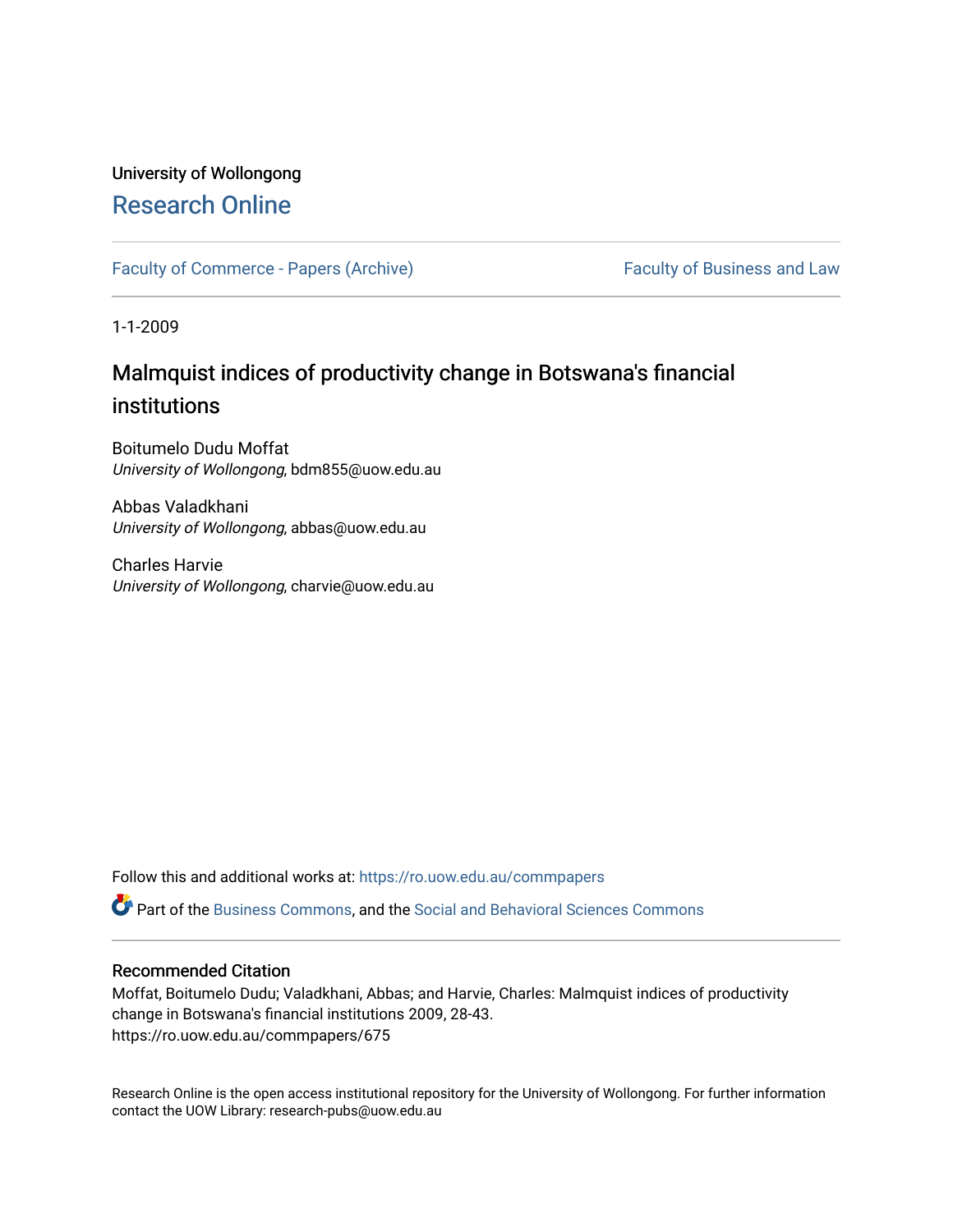# University of Wollongong [Research Online](https://ro.uow.edu.au/)

[Faculty of Commerce - Papers \(Archive\)](https://ro.uow.edu.au/commpapers) Faculty of Business and Law

1-1-2009

# Malmquist indices of productivity change in Botswana's financial institutions

Boitumelo Dudu Moffat University of Wollongong, bdm855@uow.edu.au

Abbas Valadkhani University of Wollongong, abbas@uow.edu.au

Charles Harvie University of Wollongong, charvie@uow.edu.au

Follow this and additional works at: [https://ro.uow.edu.au/commpapers](https://ro.uow.edu.au/commpapers?utm_source=ro.uow.edu.au%2Fcommpapers%2F675&utm_medium=PDF&utm_campaign=PDFCoverPages) 

Part of the [Business Commons](http://network.bepress.com/hgg/discipline/622?utm_source=ro.uow.edu.au%2Fcommpapers%2F675&utm_medium=PDF&utm_campaign=PDFCoverPages), and the [Social and Behavioral Sciences Commons](http://network.bepress.com/hgg/discipline/316?utm_source=ro.uow.edu.au%2Fcommpapers%2F675&utm_medium=PDF&utm_campaign=PDFCoverPages) 

# Recommended Citation

Moffat, Boitumelo Dudu; Valadkhani, Abbas; and Harvie, Charles: Malmquist indices of productivity change in Botswana's financial institutions 2009, 28-43. https://ro.uow.edu.au/commpapers/675

Research Online is the open access institutional repository for the University of Wollongong. For further information contact the UOW Library: research-pubs@uow.edu.au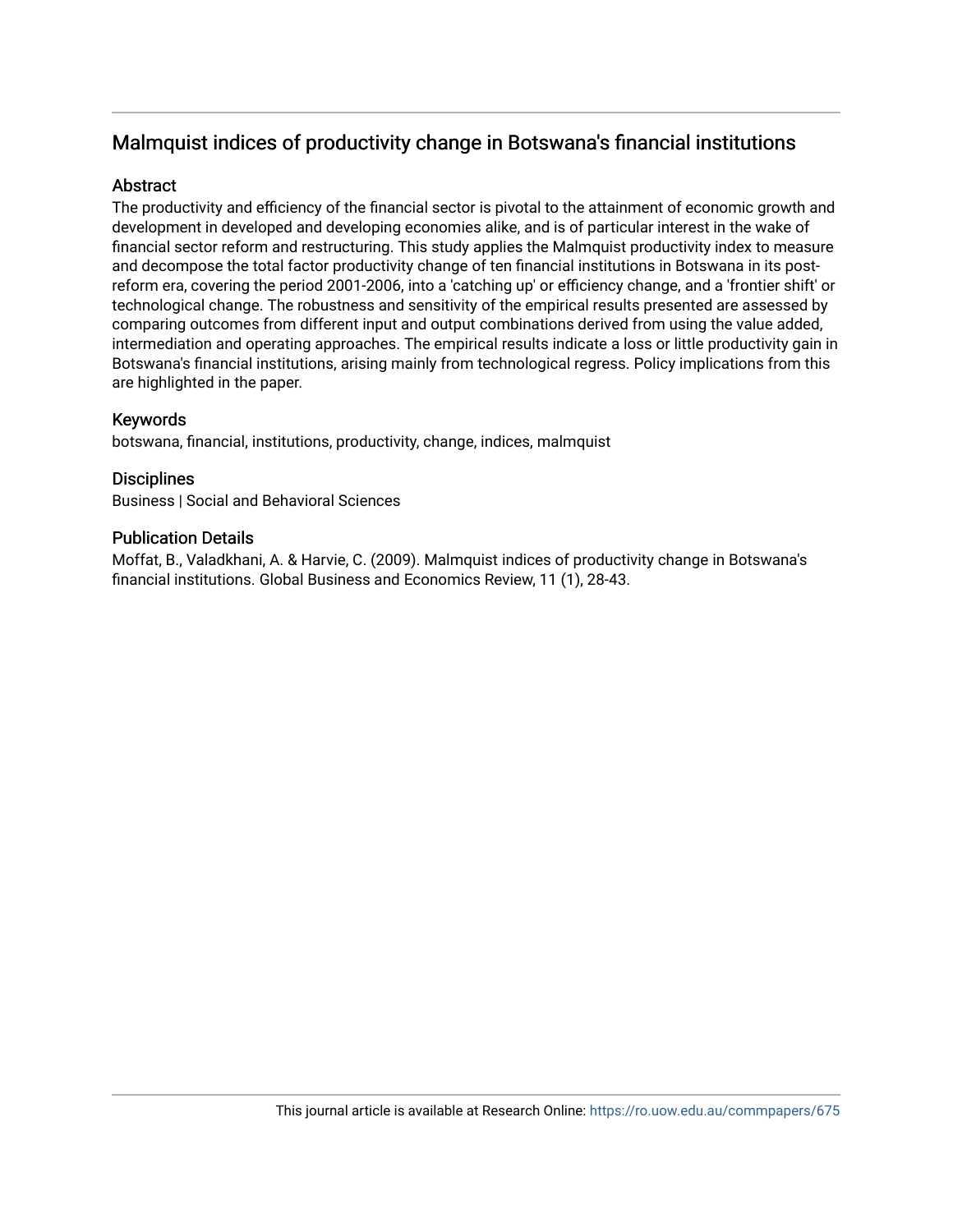# Malmquist indices of productivity change in Botswana's financial institutions

# Abstract

The productivity and efficiency of the financial sector is pivotal to the attainment of economic growth and development in developed and developing economies alike, and is of particular interest in the wake of financial sector reform and restructuring. This study applies the Malmquist productivity index to measure and decompose the total factor productivity change of ten financial institutions in Botswana in its postreform era, covering the period 2001-2006, into a 'catching up' or efficiency change, and a 'frontier shift' or technological change. The robustness and sensitivity of the empirical results presented are assessed by comparing outcomes from different input and output combinations derived from using the value added, intermediation and operating approaches. The empirical results indicate a loss or little productivity gain in Botswana's financial institutions, arising mainly from technological regress. Policy implications from this are highlighted in the paper.

# Keywords

botswana, financial, institutions, productivity, change, indices, malmquist

# **Disciplines**

Business | Social and Behavioral Sciences

# Publication Details

Moffat, B., Valadkhani, A. & Harvie, C. (2009). Malmquist indices of productivity change in Botswana's financial institutions. Global Business and Economics Review, 11 (1), 28-43.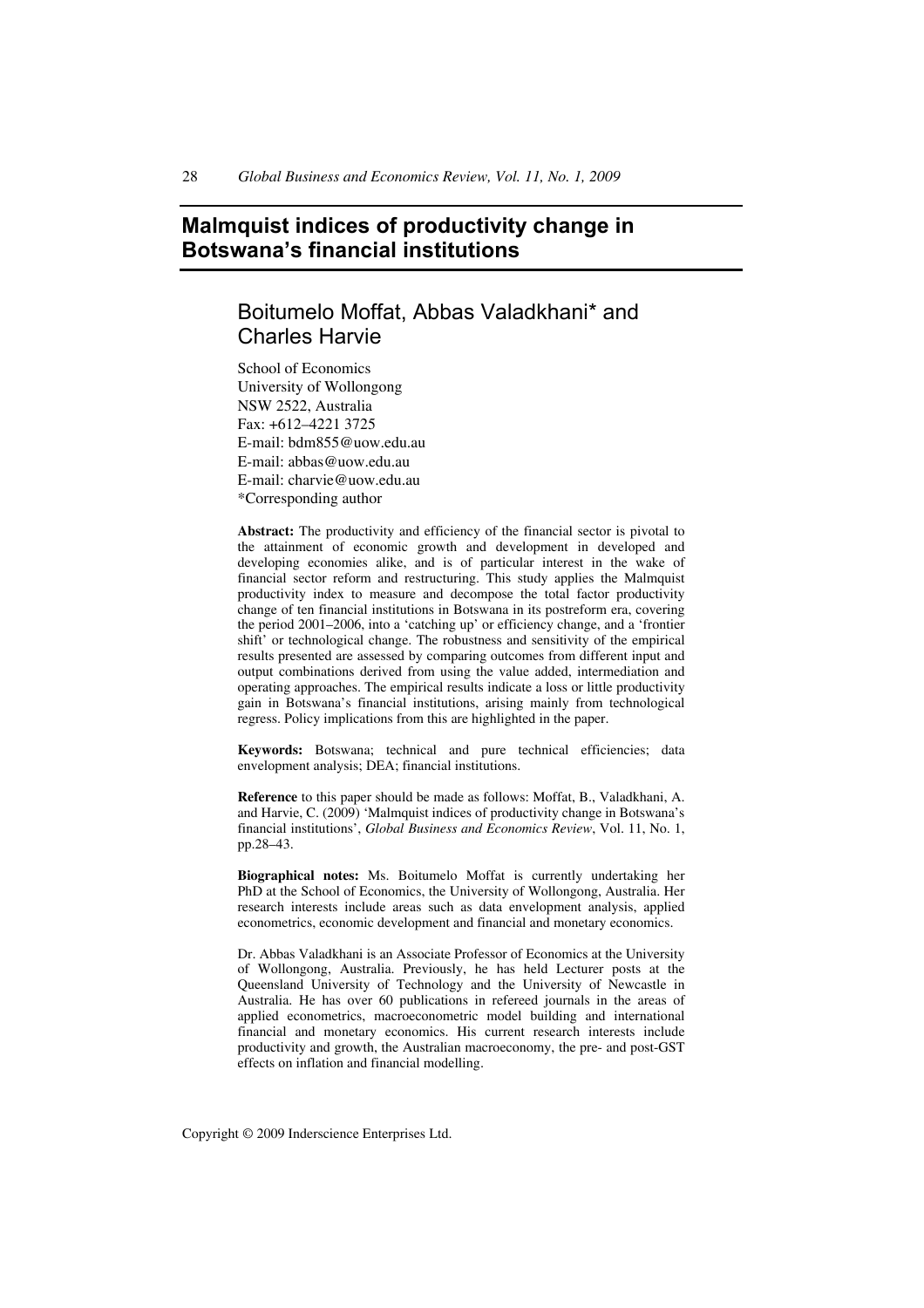# **Malmquist indices of productivity change in Botswana's financial institutions**

# Boitumelo Moffat, Abbas Valadkhani\* and Charles Harvie

School of Economics University of Wollongong NSW 2522, Australia Fax: +612–4221 3725 E-mail: bdm855@uow.edu.au E-mail: abbas@uow.edu.au E-mail: charvie@uow.edu.au \*Corresponding author

**Abstract:** The productivity and efficiency of the financial sector is pivotal to the attainment of economic growth and development in developed and developing economies alike, and is of particular interest in the wake of financial sector reform and restructuring. This study applies the Malmquist productivity index to measure and decompose the total factor productivity change of ten financial institutions in Botswana in its postreform era, covering the period 2001–2006, into a 'catching up' or efficiency change, and a 'frontier shift' or technological change. The robustness and sensitivity of the empirical results presented are assessed by comparing outcomes from different input and output combinations derived from using the value added, intermediation and operating approaches. The empirical results indicate a loss or little productivity gain in Botswana's financial institutions, arising mainly from technological regress. Policy implications from this are highlighted in the paper.

**Keywords:** Botswana; technical and pure technical efficiencies; data envelopment analysis; DEA; financial institutions.

**Reference** to this paper should be made as follows: Moffat, B., Valadkhani, A. and Harvie, C. (2009) 'Malmquist indices of productivity change in Botswana's financial institutions', *Global Business and Economics Review*, Vol. 11, No. 1, pp.28–43.

**Biographical notes:** Ms. Boitumelo Moffat is currently undertaking her PhD at the School of Economics, the University of Wollongong, Australia. Her research interests include areas such as data envelopment analysis, applied econometrics, economic development and financial and monetary economics.

Dr. Abbas Valadkhani is an Associate Professor of Economics at the University of Wollongong, Australia. Previously, he has held Lecturer posts at the Queensland University of Technology and the University of Newcastle in Australia. He has over 60 publications in refereed journals in the areas of applied econometrics, macroeconometric model building and international financial and monetary economics. His current research interests include productivity and growth, the Australian macroeconomy, the pre- and post-GST effects on inflation and financial modelling.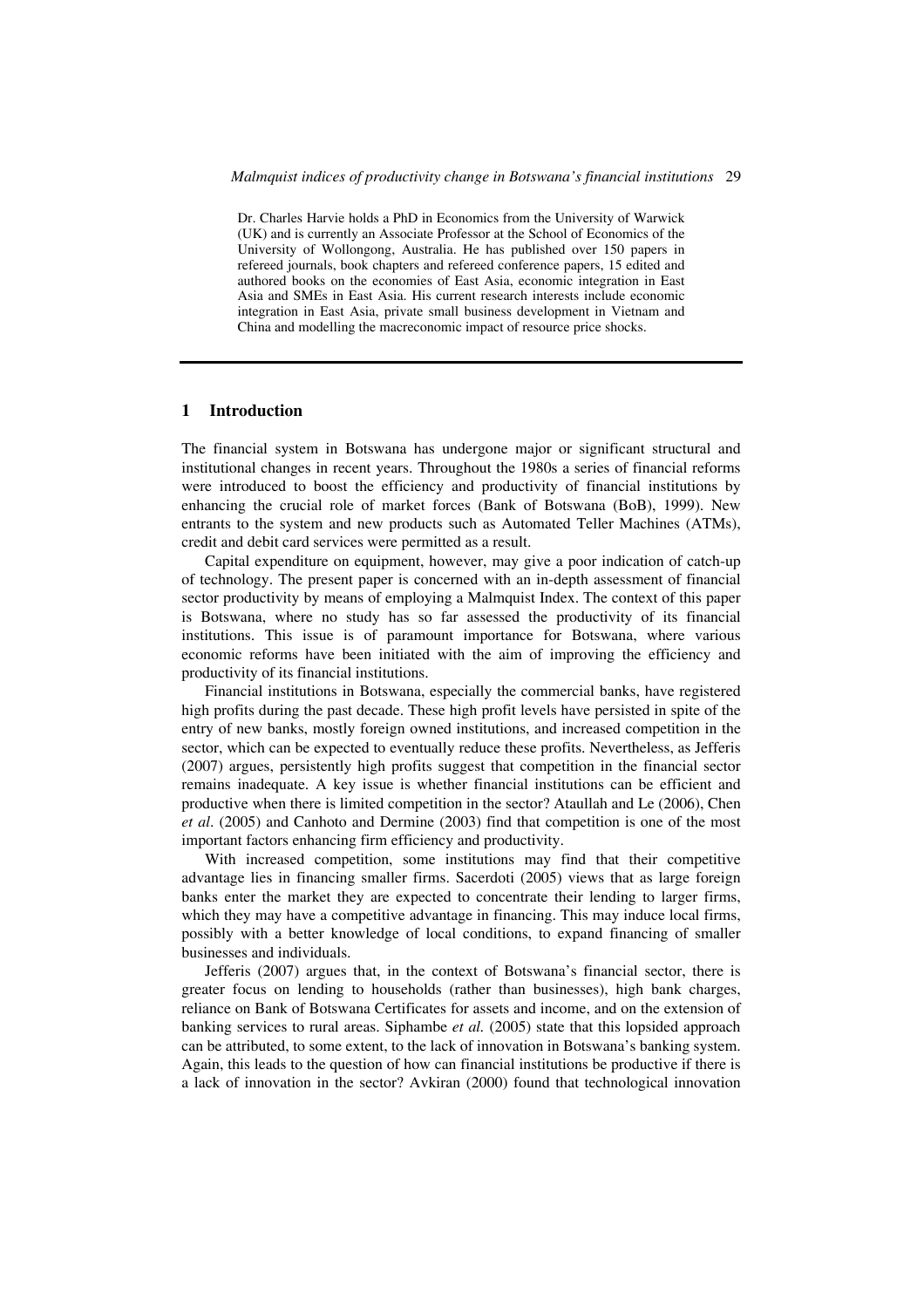Dr. Charles Harvie holds a PhD in Economics from the University of Warwick (UK) and is currently an Associate Professor at the School of Economics of the University of Wollongong, Australia. He has published over 150 papers in refereed journals, book chapters and refereed conference papers, 15 edited and authored books on the economies of East Asia, economic integration in East Asia and SMEs in East Asia. His current research interests include economic integration in East Asia, private small business development in Vietnam and China and modelling the macreconomic impact of resource price shocks.

## **1 Introduction**

The financial system in Botswana has undergone major or significant structural and institutional changes in recent years. Throughout the 1980s a series of financial reforms were introduced to boost the efficiency and productivity of financial institutions by enhancing the crucial role of market forces (Bank of Botswana (BoB), 1999). New entrants to the system and new products such as Automated Teller Machines (ATMs), credit and debit card services were permitted as a result.

Capital expenditure on equipment, however, may give a poor indication of catch-up of technology. The present paper is concerned with an in-depth assessment of financial sector productivity by means of employing a Malmquist Index. The context of this paper is Botswana, where no study has so far assessed the productivity of its financial institutions. This issue is of paramount importance for Botswana, where various economic reforms have been initiated with the aim of improving the efficiency and productivity of its financial institutions.

Financial institutions in Botswana, especially the commercial banks, have registered high profits during the past decade. These high profit levels have persisted in spite of the entry of new banks, mostly foreign owned institutions, and increased competition in the sector, which can be expected to eventually reduce these profits. Nevertheless, as Jefferis (2007) argues, persistently high profits suggest that competition in the financial sector remains inadequate. A key issue is whether financial institutions can be efficient and productive when there is limited competition in the sector? Ataullah and Le (2006), Chen *et al*. (2005) and Canhoto and Dermine (2003) find that competition is one of the most important factors enhancing firm efficiency and productivity.

With increased competition, some institutions may find that their competitive advantage lies in financing smaller firms. Sacerdoti (2005) views that as large foreign banks enter the market they are expected to concentrate their lending to larger firms, which they may have a competitive advantage in financing. This may induce local firms, possibly with a better knowledge of local conditions, to expand financing of smaller businesses and individuals.

Jefferis (2007) argues that, in the context of Botswana's financial sector, there is greater focus on lending to households (rather than businesses), high bank charges, reliance on Bank of Botswana Certificates for assets and income, and on the extension of banking services to rural areas. Siphambe *et al.* (2005) state that this lopsided approach can be attributed, to some extent, to the lack of innovation in Botswana's banking system. Again, this leads to the question of how can financial institutions be productive if there is a lack of innovation in the sector? Avkiran (2000) found that technological innovation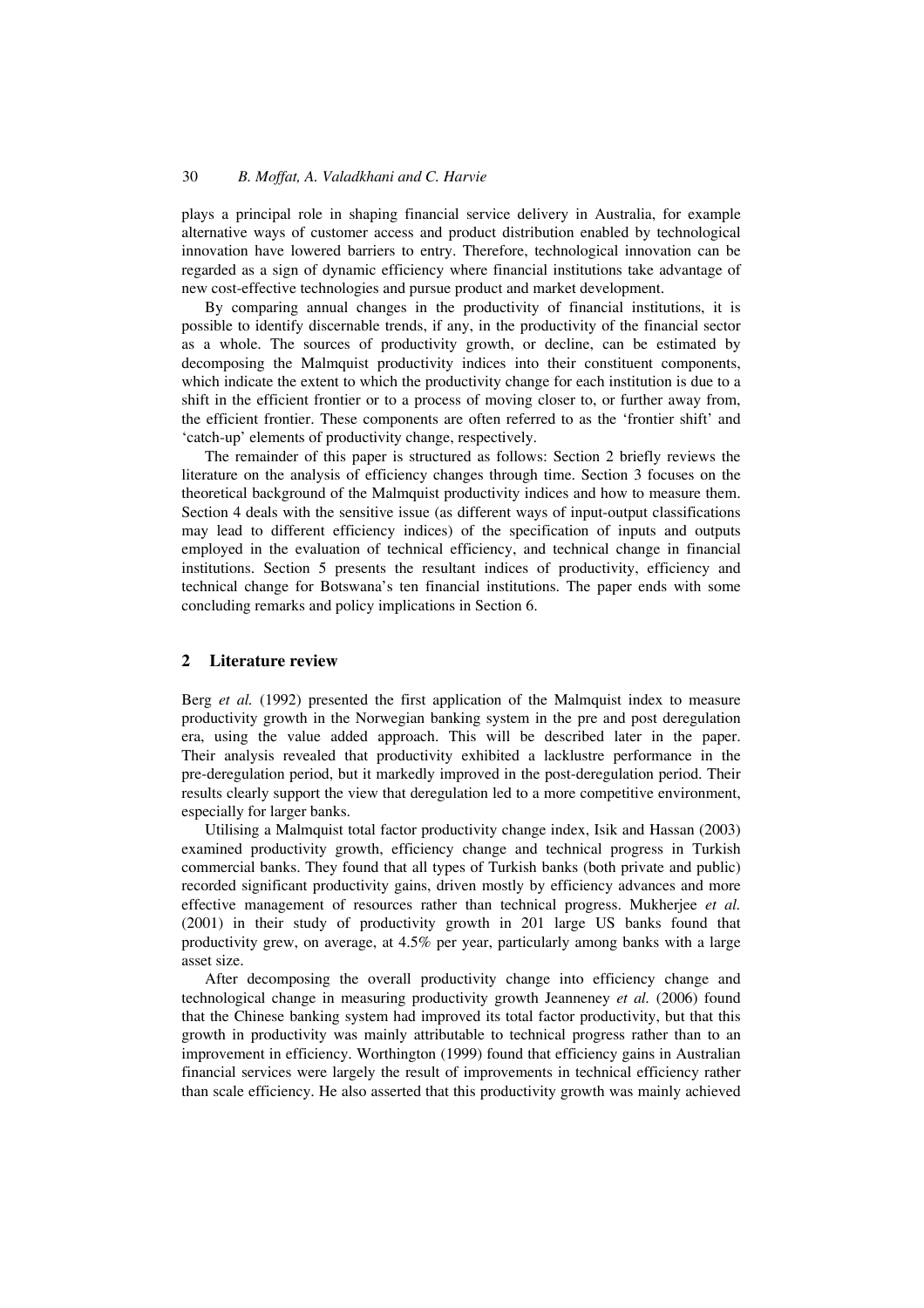plays a principal role in shaping financial service delivery in Australia, for example alternative ways of customer access and product distribution enabled by technological innovation have lowered barriers to entry. Therefore, technological innovation can be regarded as a sign of dynamic efficiency where financial institutions take advantage of new cost-effective technologies and pursue product and market development.

By comparing annual changes in the productivity of financial institutions, it is possible to identify discernable trends, if any, in the productivity of the financial sector as a whole. The sources of productivity growth, or decline, can be estimated by decomposing the Malmquist productivity indices into their constituent components, which indicate the extent to which the productivity change for each institution is due to a shift in the efficient frontier or to a process of moving closer to, or further away from, the efficient frontier. These components are often referred to as the 'frontier shift' and 'catch-up' elements of productivity change, respectively.

The remainder of this paper is structured as follows: Section 2 briefly reviews the literature on the analysis of efficiency changes through time. Section 3 focuses on the theoretical background of the Malmquist productivity indices and how to measure them. Section 4 deals with the sensitive issue (as different ways of input-output classifications may lead to different efficiency indices) of the specification of inputs and outputs employed in the evaluation of technical efficiency, and technical change in financial institutions. Section 5 presents the resultant indices of productivity, efficiency and technical change for Botswana's ten financial institutions. The paper ends with some concluding remarks and policy implications in Section 6.

### **2 Literature review**

Berg *et al.* (1992) presented the first application of the Malmquist index to measure productivity growth in the Norwegian banking system in the pre and post deregulation era, using the value added approach. This will be described later in the paper. Their analysis revealed that productivity exhibited a lacklustre performance in the pre-deregulation period, but it markedly improved in the post-deregulation period. Their results clearly support the view that deregulation led to a more competitive environment, especially for larger banks.

Utilising a Malmquist total factor productivity change index, Isik and Hassan (2003) examined productivity growth, efficiency change and technical progress in Turkish commercial banks. They found that all types of Turkish banks (both private and public) recorded significant productivity gains, driven mostly by efficiency advances and more effective management of resources rather than technical progress. Mukherjee *et al.* (2001) in their study of productivity growth in 201 large US banks found that productivity grew, on average, at 4.5% per year, particularly among banks with a large asset size.

After decomposing the overall productivity change into efficiency change and technological change in measuring productivity growth Jeanneney *et al.* (2006) found that the Chinese banking system had improved its total factor productivity, but that this growth in productivity was mainly attributable to technical progress rather than to an improvement in efficiency. Worthington (1999) found that efficiency gains in Australian financial services were largely the result of improvements in technical efficiency rather than scale efficiency. He also asserted that this productivity growth was mainly achieved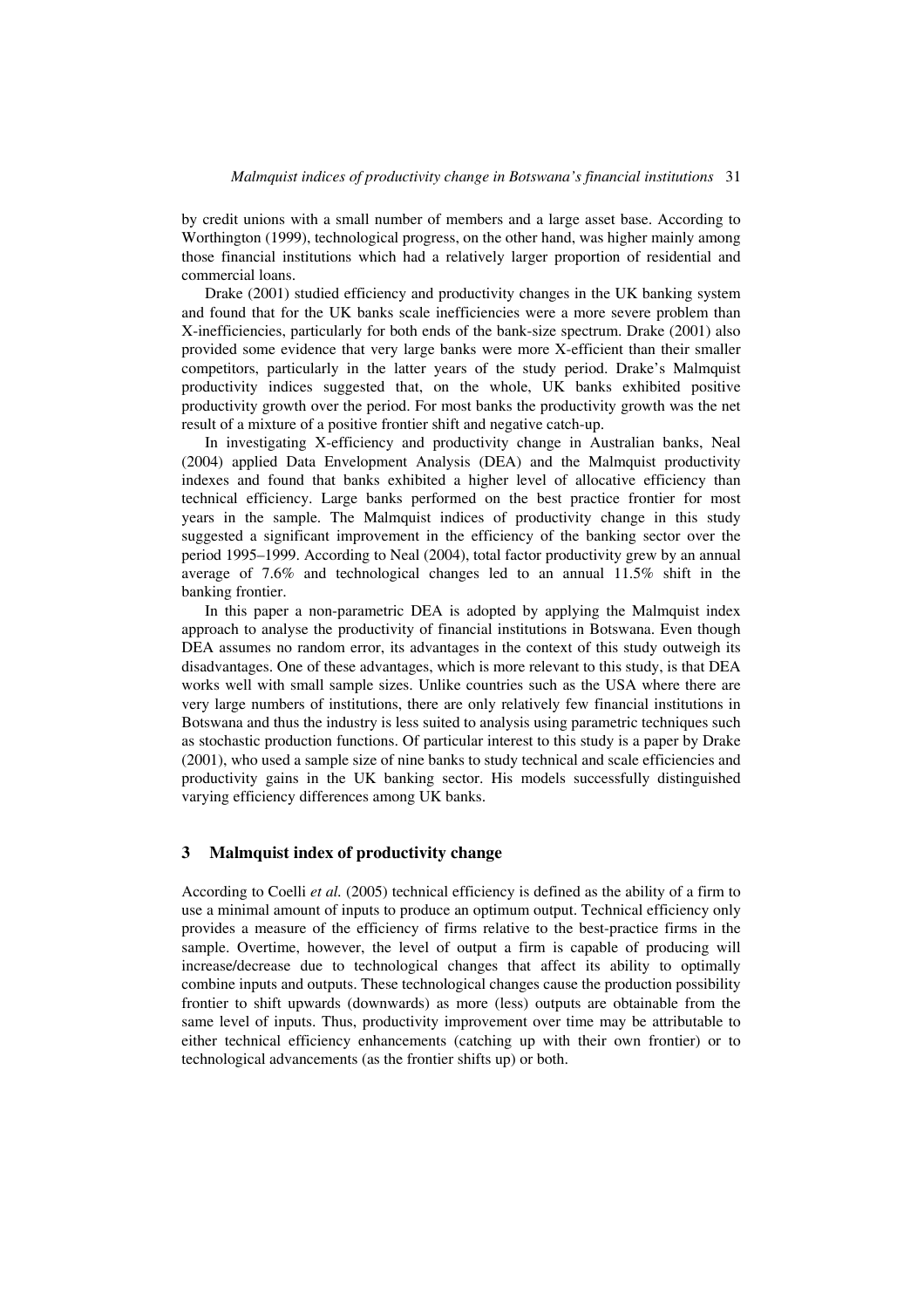by credit unions with a small number of members and a large asset base. According to Worthington (1999), technological progress, on the other hand, was higher mainly among those financial institutions which had a relatively larger proportion of residential and commercial loans.

Drake (2001) studied efficiency and productivity changes in the UK banking system and found that for the UK banks scale inefficiencies were a more severe problem than X-inefficiencies, particularly for both ends of the bank-size spectrum. Drake (2001) also provided some evidence that very large banks were more X-efficient than their smaller competitors, particularly in the latter years of the study period. Drake's Malmquist productivity indices suggested that, on the whole, UK banks exhibited positive productivity growth over the period. For most banks the productivity growth was the net result of a mixture of a positive frontier shift and negative catch-up.

In investigating X-efficiency and productivity change in Australian banks, Neal (2004) applied Data Envelopment Analysis (DEA) and the Malmquist productivity indexes and found that banks exhibited a higher level of allocative efficiency than technical efficiency. Large banks performed on the best practice frontier for most years in the sample. The Malmquist indices of productivity change in this study suggested a significant improvement in the efficiency of the banking sector over the period 1995–1999. According to Neal (2004), total factor productivity grew by an annual average of 7.6% and technological changes led to an annual 11.5% shift in the banking frontier.

In this paper a non-parametric DEA is adopted by applying the Malmquist index approach to analyse the productivity of financial institutions in Botswana. Even though DEA assumes no random error, its advantages in the context of this study outweigh its disadvantages. One of these advantages, which is more relevant to this study, is that DEA works well with small sample sizes. Unlike countries such as the USA where there are very large numbers of institutions, there are only relatively few financial institutions in Botswana and thus the industry is less suited to analysis using parametric techniques such as stochastic production functions. Of particular interest to this study is a paper by Drake (2001), who used a sample size of nine banks to study technical and scale efficiencies and productivity gains in the UK banking sector. His models successfully distinguished varying efficiency differences among UK banks.

## **3 Malmquist index of productivity change**

According to Coelli *et al.* (2005) technical efficiency is defined as the ability of a firm to use a minimal amount of inputs to produce an optimum output. Technical efficiency only provides a measure of the efficiency of firms relative to the best-practice firms in the sample. Overtime, however, the level of output a firm is capable of producing will increase/decrease due to technological changes that affect its ability to optimally combine inputs and outputs. These technological changes cause the production possibility frontier to shift upwards (downwards) as more (less) outputs are obtainable from the same level of inputs. Thus, productivity improvement over time may be attributable to either technical efficiency enhancements (catching up with their own frontier) or to technological advancements (as the frontier shifts up) or both.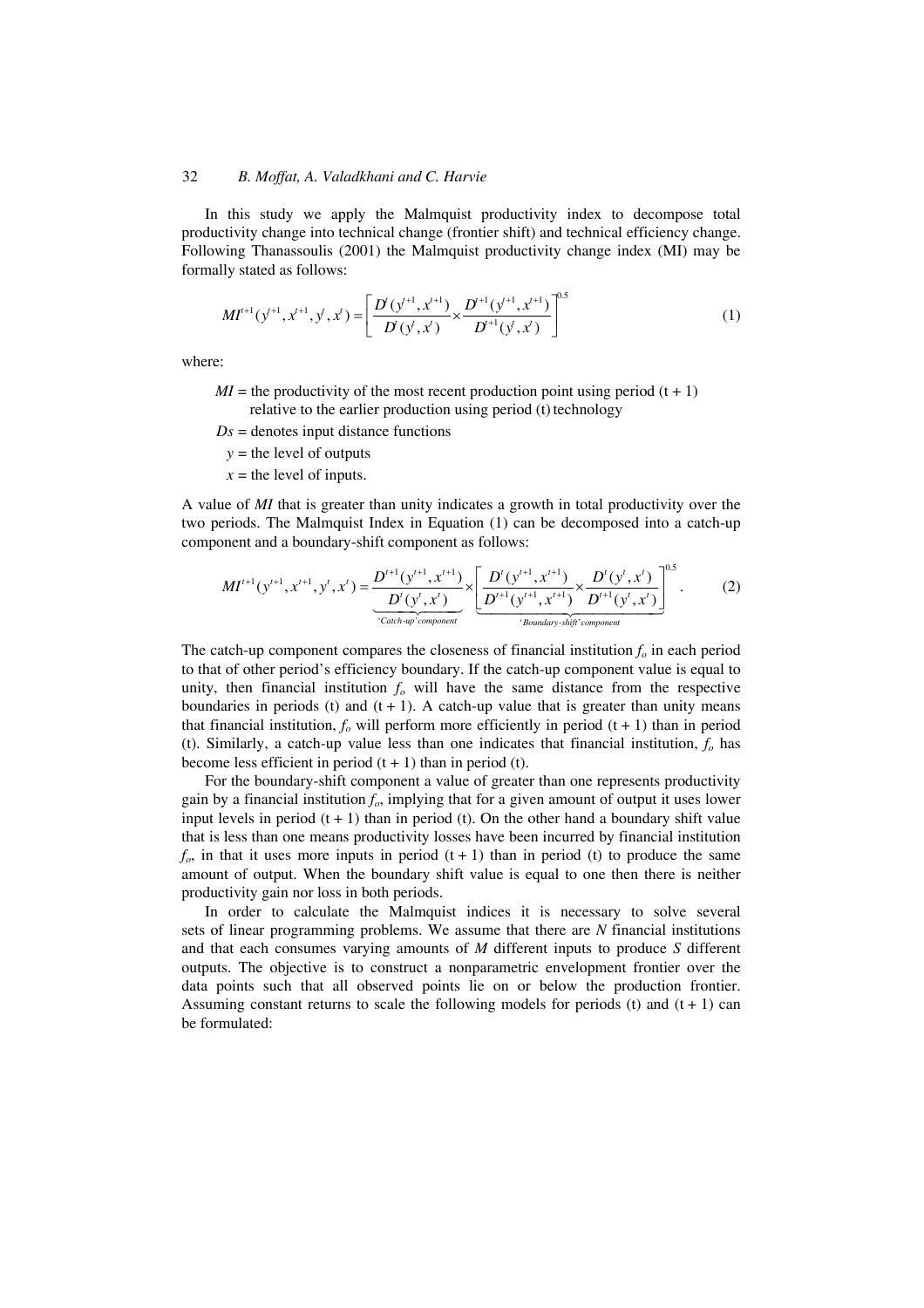In this study we apply the Malmquist productivity index to decompose total productivity change into technical change (frontier shift) and technical efficiency change. Following Thanassoulis (2001) the Malmquist productivity change index (MI) may be formally stated as follows:

$$
MI^{t+1}(y^{t+1}, x^{t+1}, y^t, x^t) = \left[ \frac{D^t(y^{t+1}, x^{t+1})}{D^t(y^t, x^t)} \times \frac{D^{t+1}(y^{t+1}, x^{t+1})}{D^{t+1}(y^t, x^t)} \right]^{0.5}
$$
(1)

where:

- $MI$  = the productivity of the most recent production point using period  $(t + 1)$ relative to the earlier production using period (t) technology
- $Ds =$  denotes input distance functions
- $y =$  the level of outputs
- $x =$  the level of inputs.

A value of *MI* that is greater than unity indicates a growth in total productivity over the two periods. The Malmquist Index in Equation (1) can be decomposed into a catch-up component and a boundary-shift component as follows:

$$
MI^{t+1}(y^{t+1}, x^{t+1}, y^t, x^t) = \underbrace{\frac{D^{t+1}(y^{t+1}, x^{t+1})}{D^t(y^t, x^t)}}_{\text{'Catch-up' component}} \times \underbrace{\left[\frac{D^t(y^{t+1}, x^{t+1})}{D^{t+1}(y^{t+1}, x^{t+1})} \times \frac{D^t(y^t, x^t)}{D^{t+1}(y^t, x^t)}\right]^{0.5}}_{\text{'Boundary-shift' component}}.
$$
 (2)

The catch-up component compares the closeness of financial institution  $f<sub>o</sub>$  in each period to that of other period's efficiency boundary. If the catch-up component value is equal to unity, then financial institution  $f<sub>o</sub>$  will have the same distance from the respective boundaries in periods (t) and  $(t + 1)$ . A catch-up value that is greater than unity means that financial institution,  $f_0$  will perform more efficiently in period  $(t + 1)$  than in period (t). Similarly, a catch-up value less than one indicates that financial institution,  $f<sub>o</sub>$  has become less efficient in period  $(t + 1)$  than in period (t).

For the boundary-shift component a value of greater than one represents productivity gain by a financial institution  $f<sub>o</sub>$ , implying that for a given amount of output it uses lower input levels in period  $(t + 1)$  than in period (t). On the other hand a boundary shift value that is less than one means productivity losses have been incurred by financial institution  $f<sub>o</sub>$ , in that it uses more inputs in period  $(t + 1)$  than in period (t) to produce the same amount of output. When the boundary shift value is equal to one then there is neither productivity gain nor loss in both periods.

In order to calculate the Malmquist indices it is necessary to solve several sets of linear programming problems. We assume that there are *N* financial institutions and that each consumes varying amounts of *M* different inputs to produce *S* different outputs. The objective is to construct a nonparametric envelopment frontier over the data points such that all observed points lie on or below the production frontier. Assuming constant returns to scale the following models for periods (t) and  $(t + 1)$  can be formulated: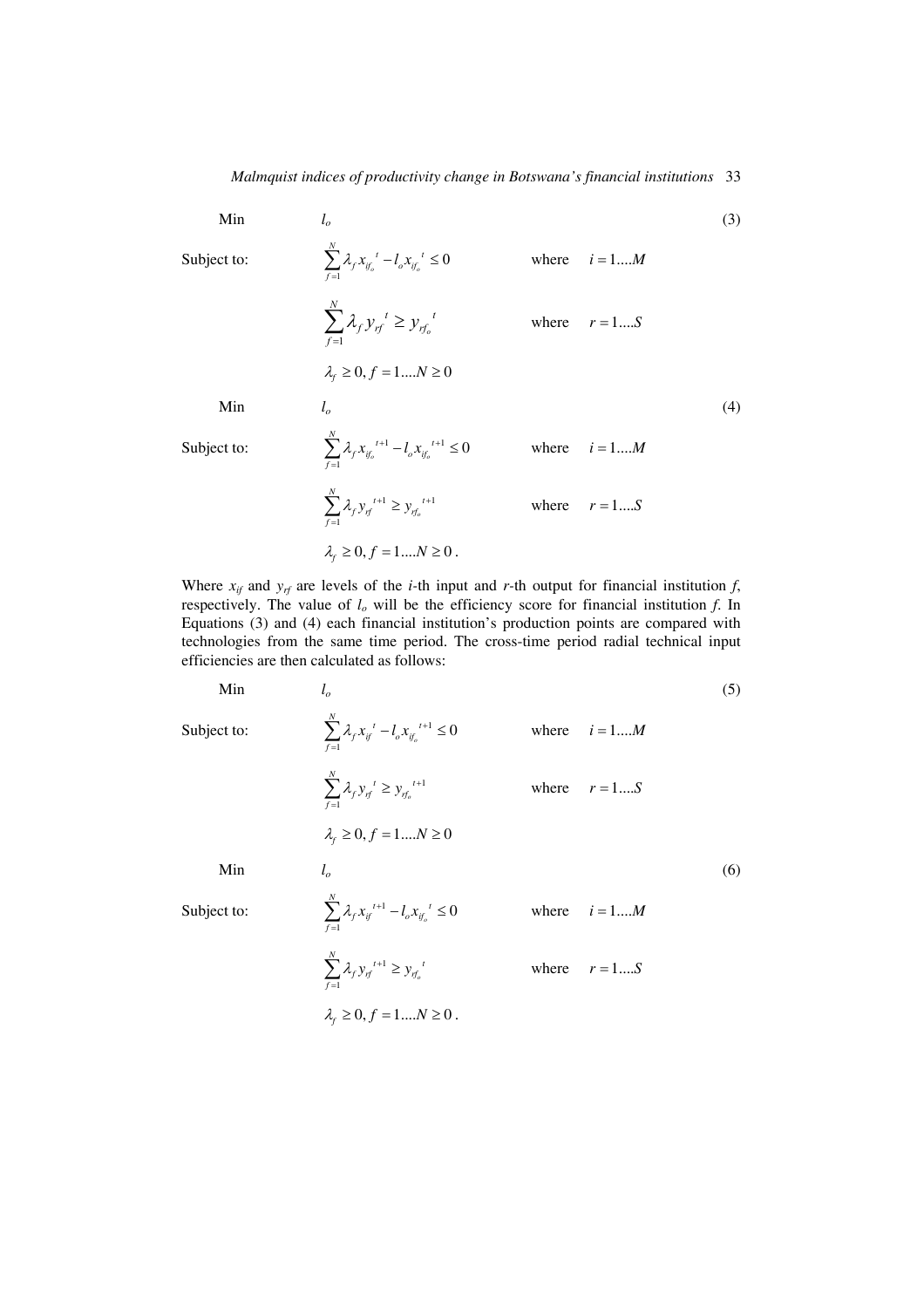$\sum_{f=1} \lambda_f y_{rf}^t \ge y_{rf_o}^t$  where  $r = 1...S$ 

$$
\mathbf{Min} \qquad l_o \tag{3}
$$

Subject to:

1

*f*

 $\lambda_{i} x_{i}^{t} - l_{i} x_{i}^{t} \leq 0$  $\sum_{f=1}^N \lambda_f {x_{if_o}}^t - l_o {x_{if_o}}^t \leq$ 

 $\frac{1}{1}$  *j v*<sub>*i*</sub> *o y*<sub>*i*</sub>  $\sum_{l=1}^{N} 1 + t \sum_{i=1}^{l} t_i$  $f Y_{rf}$   $\leq$   $Y_{rf}$ 

 $\lambda_f \ge 0, f = 1....N \ge 0$ 

 $\lambda_f y_{rf}^t \geq y$ 

 $x_{if}^{i} - l_{i}x_{if}^{i} \le 0$  where  $i = 1...M$ 

Min  $l_o$  (4) Subject to:  $\sum_{i} \lambda_i x_{it}^{t+1} - l_o x_{it}^{t+1}$  $\sum_{f=1}^{N} \lambda_f x_{if_o}^{t+1} - l_o x_{if_o}^{t+1} \leq 0$  $\lambda_{r} x_{ir}^{t+1} - l_{\alpha} x_{ir}^{t+1}$  $\sum_{f=1} \lambda_f x_{i f_o}^{i+1} - l_o x_{i f_o}^{i+1} \le 0$  where  $i = 1...M$  $1 \sim u^{t+1}$  $\frac{1}{1}$  *j*, *i*<sub>0</sub>  $\sum_{f=1}^{N} \lambda_f y_{rf}^{t+1} \ge y_{rf_o}^{t}$  $\lambda_f y_{rf}^{t+1} \ge y_{rf}^{t+1}$  $\sum_{f=1} \lambda_f y_{rf}^{t+1} \ge y_{rf}^{t+1}$  where  $r = 1....S$  $\lambda_f \ge 0, f = 1....N \ge 0$ .

Where  $x_{if}$  and  $y_{rf}$  are levels of the *i*-th input and *r*-th output for financial institution *f*, respectively. The value of *lo* will be the efficiency score for financial institution *f*. In Equations (3) and (4) each financial institution's production points are compared with technologies from the same time period. The cross-time period radial technical input efficiencies are then calculated as follows:

Min  
\n
$$
l_o
$$
\n(5)  
\nSubject to:  
\n
$$
\sum_{f=1}^{N} \lambda_f x_{if}^{t} - l_o x_{if_o}^{t+1} \le 0
$$
 where  $i = 1...M$   
\n
$$
\sum_{f=1}^{N} \lambda_f y_{rf}^{t} \ge y_{tf_o}^{t+1}
$$
 where  $r = 1...S$   
\n
$$
\lambda_f \ge 0, f = 1...N \ge 0
$$
  
\nMin  
\n
$$
l_o
$$
\n(6)  
\nSubject to:  
\n
$$
\sum_{f=1}^{N} \lambda_f x_{if}^{t+1} - l_o x_{if_o}^{t} \le 0
$$
 where  $i = 1...M$   
\n
$$
\sum_{f=1}^{N} \lambda_f y_{rf}^{t+1} \ge y_{tf_o}^{t}
$$
 where  $r = 1...S$   
\n
$$
\lambda_f \ge 0, f = 1...N \ge 0.
$$
\n(6)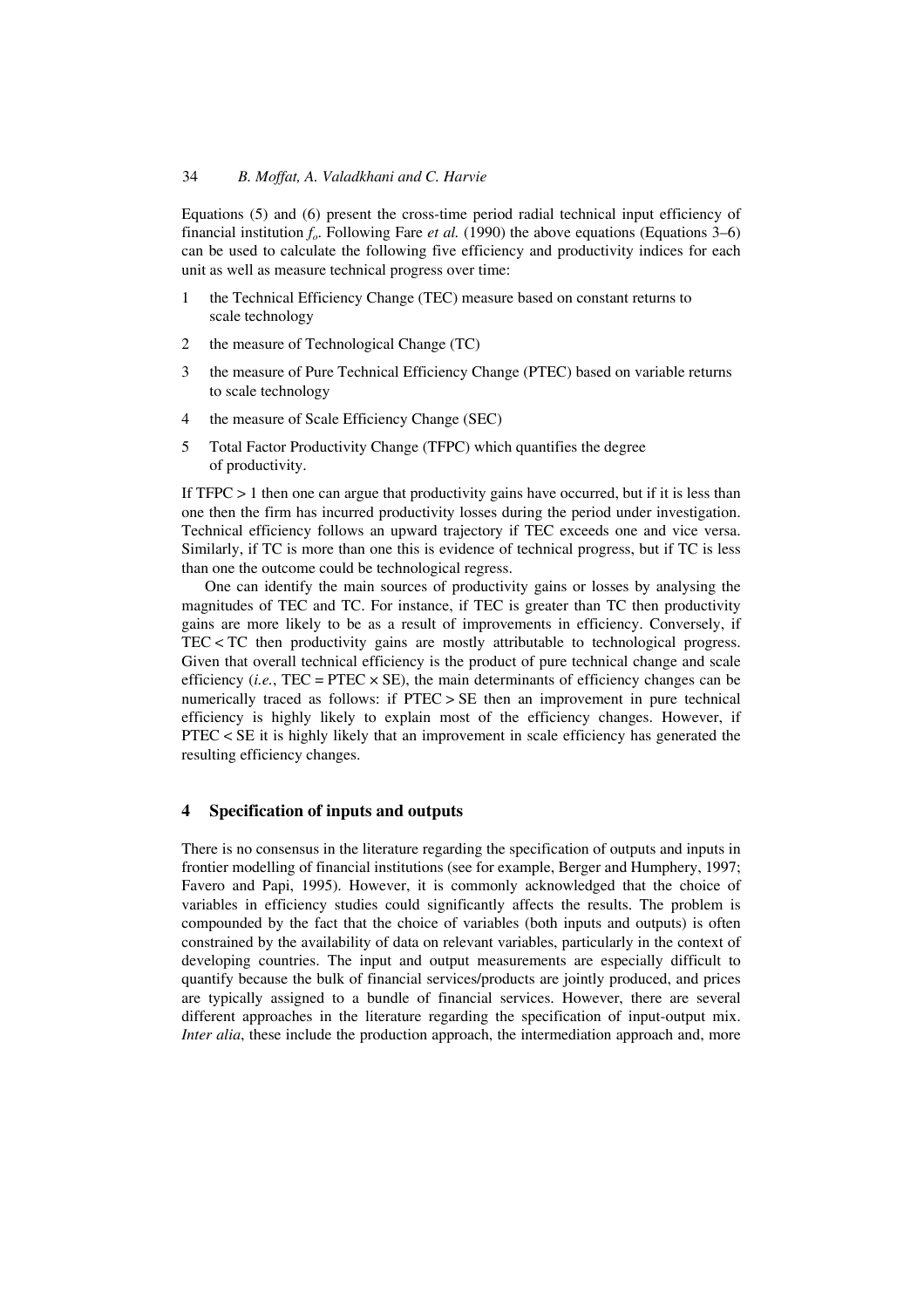Equations (5) and (6) present the cross-time period radial technical input efficiency of financial institution  $f<sub>o</sub>$ . Following Fare *et al.* (1990) the above equations (Equations 3–6) can be used to calculate the following five efficiency and productivity indices for each unit as well as measure technical progress over time:

- 1 the Technical Efficiency Change (TEC) measure based on constant returns to scale technology
- 2 the measure of Technological Change (TC)
- 3 the measure of Pure Technical Efficiency Change (PTEC) based on variable returns to scale technology
- 4 the measure of Scale Efficiency Change (SEC)
- 5 Total Factor Productivity Change (TFPC) which quantifies the degree of productivity.

If  $TFPC > 1$  then one can argue that productivity gains have occurred, but if it is less than one then the firm has incurred productivity losses during the period under investigation. Technical efficiency follows an upward trajectory if TEC exceeds one and vice versa. Similarly, if TC is more than one this is evidence of technical progress, but if TC is less than one the outcome could be technological regress.

One can identify the main sources of productivity gains or losses by analysing the magnitudes of TEC and TC. For instance, if TEC is greater than TC then productivity gains are more likely to be as a result of improvements in efficiency. Conversely, if TEC < TC then productivity gains are mostly attributable to technological progress. Given that overall technical efficiency is the product of pure technical change and scale efficiency (*i.e.*, TEC = PTEC  $\times$  SE), the main determinants of efficiency changes can be numerically traced as follows: if PTEC > SE then an improvement in pure technical efficiency is highly likely to explain most of the efficiency changes. However, if PTEC < SE it is highly likely that an improvement in scale efficiency has generated the resulting efficiency changes.

## **4 Specification of inputs and outputs**

There is no consensus in the literature regarding the specification of outputs and inputs in frontier modelling of financial institutions (see for example, Berger and Humphery, 1997; Favero and Papi, 1995). However, it is commonly acknowledged that the choice of variables in efficiency studies could significantly affects the results. The problem is compounded by the fact that the choice of variables (both inputs and outputs) is often constrained by the availability of data on relevant variables, particularly in the context of developing countries. The input and output measurements are especially difficult to quantify because the bulk of financial services/products are jointly produced, and prices are typically assigned to a bundle of financial services. However, there are several different approaches in the literature regarding the specification of input-output mix. *Inter alia*, these include the production approach, the intermediation approach and, more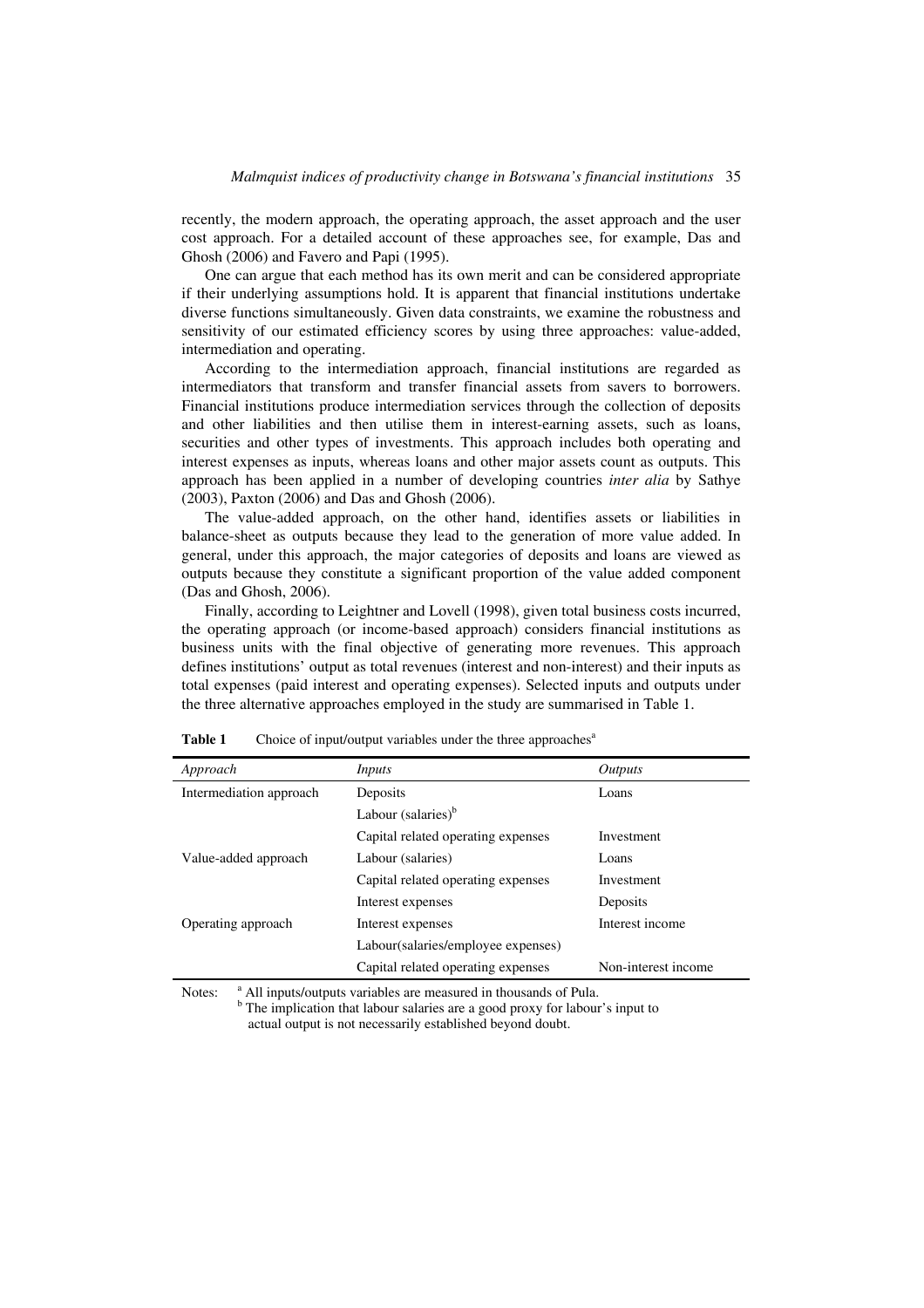recently, the modern approach, the operating approach, the asset approach and the user cost approach. For a detailed account of these approaches see, for example, Das and Ghosh (2006) and Favero and Papi (1995).

One can argue that each method has its own merit and can be considered appropriate if their underlying assumptions hold. It is apparent that financial institutions undertake diverse functions simultaneously. Given data constraints, we examine the robustness and sensitivity of our estimated efficiency scores by using three approaches: value-added, intermediation and operating.

According to the intermediation approach, financial institutions are regarded as intermediators that transform and transfer financial assets from savers to borrowers. Financial institutions produce intermediation services through the collection of deposits and other liabilities and then utilise them in interest-earning assets, such as loans, securities and other types of investments. This approach includes both operating and interest expenses as inputs, whereas loans and other major assets count as outputs. This approach has been applied in a number of developing countries *inter alia* by Sathye (2003), Paxton (2006) and Das and Ghosh (2006).

The value-added approach, on the other hand, identifies assets or liabilities in balance-sheet as outputs because they lead to the generation of more value added. In general, under this approach, the major categories of deposits and loans are viewed as outputs because they constitute a significant proportion of the value added component (Das and Ghosh, 2006).

Finally, according to Leightner and Lovell (1998), given total business costs incurred, the operating approach (or income-based approach) considers financial institutions as business units with the final objective of generating more revenues. This approach defines institutions' output as total revenues (interest and non-interest) and their inputs as total expenses (paid interest and operating expenses). Selected inputs and outputs under the three alternative approaches employed in the study are summarised in Table 1.

| Approach                | Inputs                             | <i>Outputs</i>      |  |
|-------------------------|------------------------------------|---------------------|--|
| Intermediation approach | Deposits                           | Loans               |  |
|                         | Labour $(salaries)^b$              |                     |  |
|                         | Capital related operating expenses | Investment          |  |
| Value-added approach    | Labour (salaries)                  | Loans               |  |
|                         | Capital related operating expenses | Investment          |  |
|                         | Interest expenses                  | Deposits            |  |
| Operating approach      | Interest expenses                  | Interest income     |  |
|                         | Labour(salaries/employee expenses) |                     |  |
|                         | Capital related operating expenses | Non-interest income |  |

**Table 1** Choice of input/output variables under the three approaches<sup>a</sup>

Notes: <sup>a</sup> All inputs/outputs variables are measured in thousands of Pula.

<sup>b</sup> The implication that labour salaries are a good proxy for labour's input to actual output is not necessarily established beyond doubt.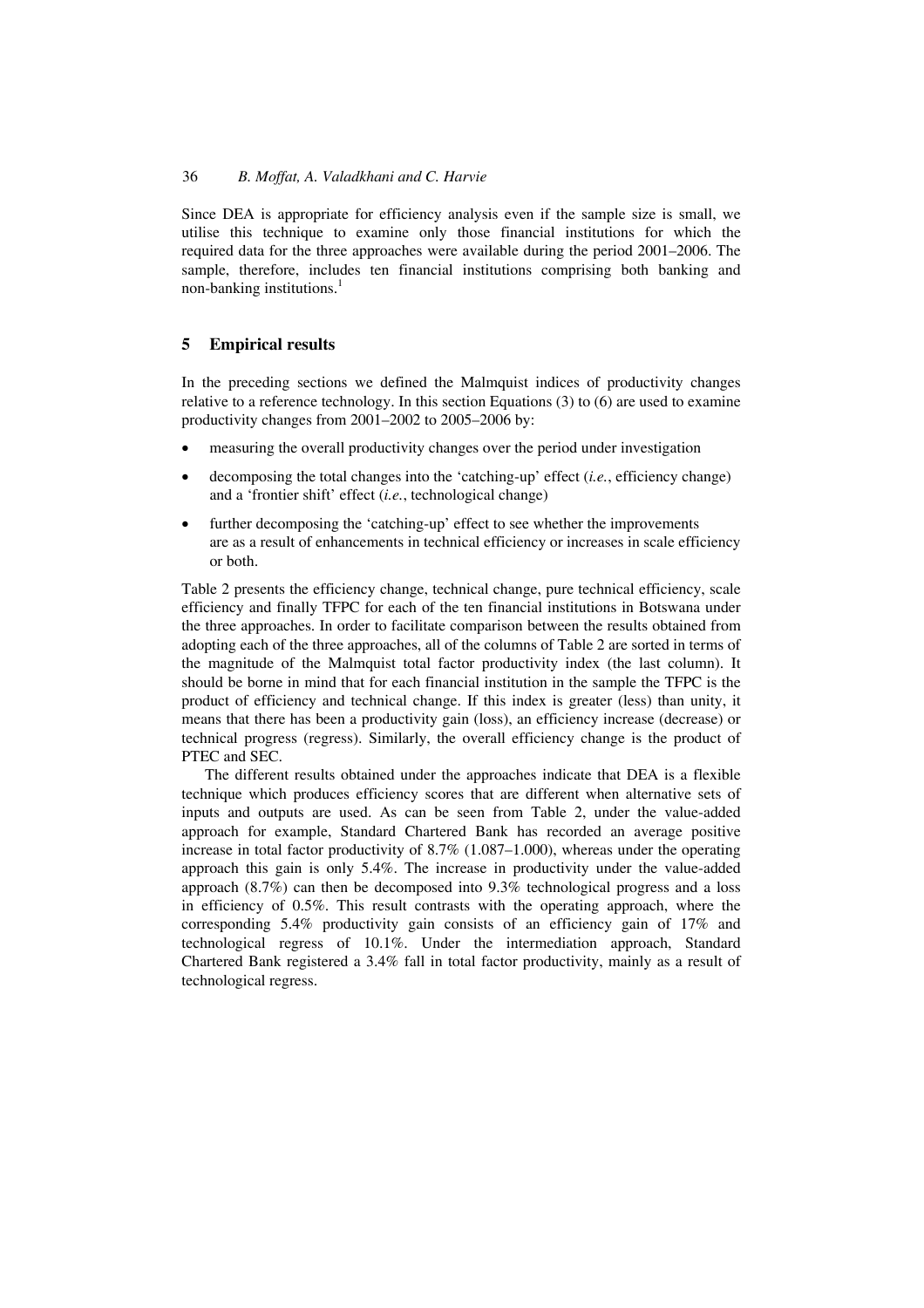Since DEA is appropriate for efficiency analysis even if the sample size is small, we utilise this technique to examine only those financial institutions for which the required data for the three approaches were available during the period 2001–2006. The sample, therefore, includes ten financial institutions comprising both banking and non-banking institutions.<sup>1</sup>

#### **5 Empirical results**

In the preceding sections we defined the Malmquist indices of productivity changes relative to a reference technology. In this section Equations (3) to (6) are used to examine productivity changes from 2001–2002 to 2005–2006 by:

- measuring the overall productivity changes over the period under investigation
- decomposing the total changes into the 'catching-up' effect (*i.e.*, efficiency change) and a 'frontier shift' effect (*i.e.*, technological change)
- further decomposing the 'catching-up' effect to see whether the improvements are as a result of enhancements in technical efficiency or increases in scale efficiency or both.

Table 2 presents the efficiency change, technical change, pure technical efficiency, scale efficiency and finally TFPC for each of the ten financial institutions in Botswana under the three approaches. In order to facilitate comparison between the results obtained from adopting each of the three approaches, all of the columns of Table 2 are sorted in terms of the magnitude of the Malmquist total factor productivity index (the last column). It should be borne in mind that for each financial institution in the sample the TFPC is the product of efficiency and technical change. If this index is greater (less) than unity, it means that there has been a productivity gain (loss), an efficiency increase (decrease) or technical progress (regress). Similarly, the overall efficiency change is the product of PTEC and SEC.

The different results obtained under the approaches indicate that DEA is a flexible technique which produces efficiency scores that are different when alternative sets of inputs and outputs are used. As can be seen from Table 2, under the value-added approach for example, Standard Chartered Bank has recorded an average positive increase in total factor productivity of 8.7% (1.087–1.000), whereas under the operating approach this gain is only 5.4%. The increase in productivity under the value-added approach (8.7%) can then be decomposed into 9.3% technological progress and a loss in efficiency of 0.5%. This result contrasts with the operating approach, where the corresponding 5.4% productivity gain consists of an efficiency gain of 17% and technological regress of 10.1%. Under the intermediation approach, Standard Chartered Bank registered a 3.4% fall in total factor productivity, mainly as a result of technological regress.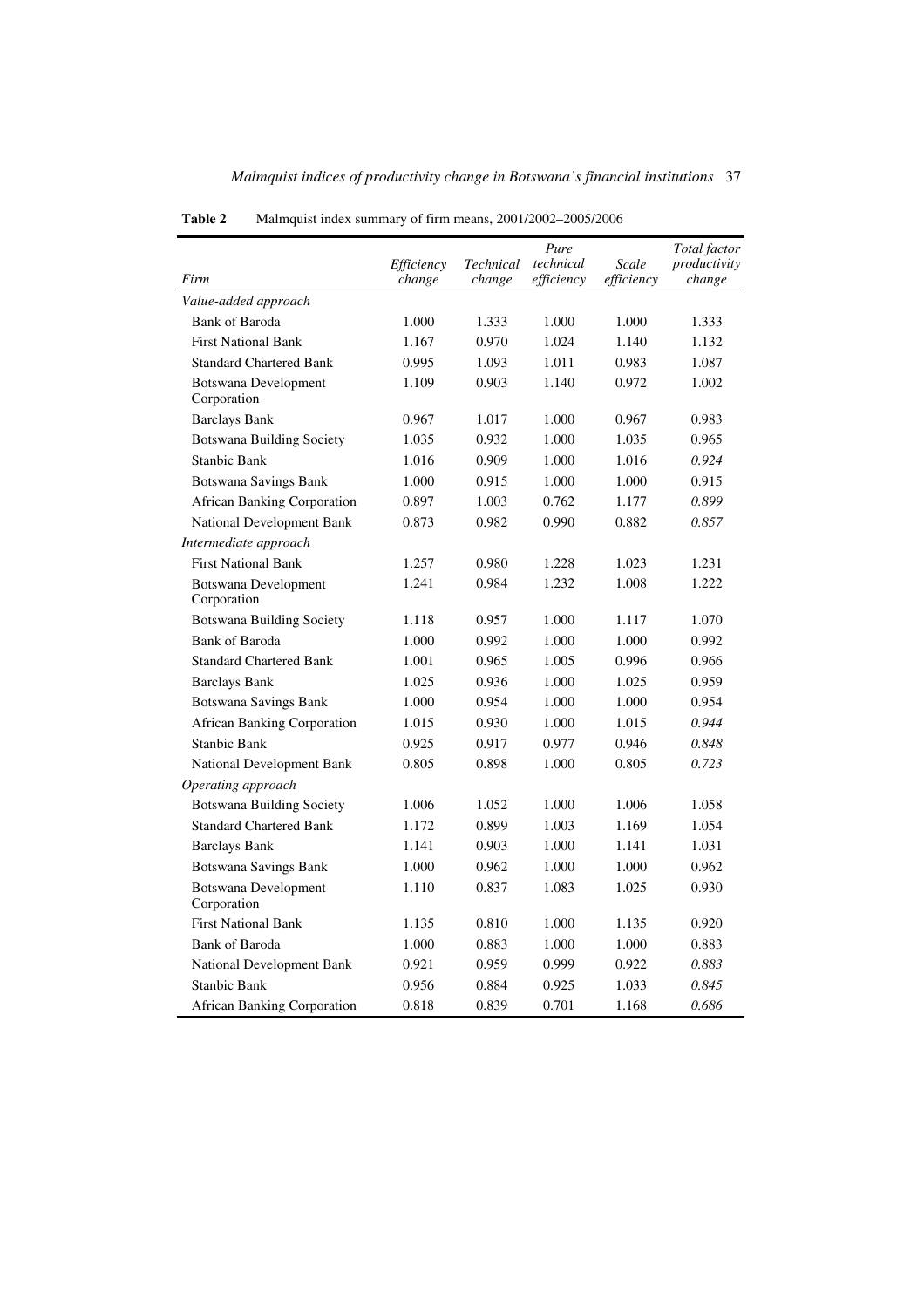| Malmquist indices of productivity change in Botswana's financial institutions 37 |  |
|----------------------------------------------------------------------------------|--|
|----------------------------------------------------------------------------------|--|

|                                            | Efficiency | Technical | Pure<br>technical | <b>Scale</b> | Total factor<br>productivity |
|--------------------------------------------|------------|-----------|-------------------|--------------|------------------------------|
| Firm                                       | change     | change    | efficiency        | efficiency   | change                       |
| Value-added approach                       |            |           |                   |              |                              |
| <b>Bank of Baroda</b>                      | 1.000      | 1.333     | 1.000             | 1.000        | 1.333                        |
| <b>First National Bank</b>                 | 1.167      | 0.970     | 1.024             | 1.140        | 1.132                        |
| <b>Standard Chartered Bank</b>             | 0.995      | 1.093     | 1.011             | 0.983        | 1.087                        |
| <b>Botswana Development</b><br>Corporation | 1.109      | 0.903     | 1.140             | 0.972        | 1.002                        |
| <b>Barclays Bank</b>                       | 0.967      | 1.017     | 1.000             | 0.967        | 0.983                        |
| <b>Botswana Building Society</b>           | 1.035      | 0.932     | 1.000             | 1.035        | 0.965                        |
| <b>Stanbic Bank</b>                        | 1.016      | 0.909     | 1.000             | 1.016        | 0.924                        |
| Botswana Savings Bank                      | 1.000      | 0.915     | 1.000             | 1.000        | 0.915                        |
| <b>African Banking Corporation</b>         | 0.897      | 1.003     | 0.762             | 1.177        | 0.899                        |
| National Development Bank                  | 0.873      | 0.982     | 0.990             | 0.882        | 0.857                        |
| Intermediate approach                      |            |           |                   |              |                              |
| <b>First National Bank</b>                 | 1.257      | 0.980     | 1.228             | 1.023        | 1.231                        |
| <b>Botswana Development</b><br>Corporation | 1.241      | 0.984     | 1.232             | 1.008        | 1.222                        |
| <b>Botswana Building Society</b>           | 1.118      | 0.957     | 1.000             | 1.117        | 1.070                        |
| <b>Bank of Baroda</b>                      | 1.000      | 0.992     | 1.000             | 1.000        | 0.992                        |
| <b>Standard Chartered Bank</b>             | 1.001      | 0.965     | 1.005             | 0.996        | 0.966                        |
| <b>Barclays Bank</b>                       | 1.025      | 0.936     | 1.000             | 1.025        | 0.959                        |
| <b>Botswana Savings Bank</b>               | 1.000      | 0.954     | 1.000             | 1.000        | 0.954                        |
| <b>African Banking Corporation</b>         | 1.015      | 0.930     | 1.000             | 1.015        | 0.944                        |
| <b>Stanbic Bank</b>                        | 0.925      | 0.917     | 0.977             | 0.946        | 0.848                        |
| National Development Bank                  | 0.805      | 0.898     | 1.000             | 0.805        | 0.723                        |
| Operating approach                         |            |           |                   |              |                              |
| <b>Botswana Building Society</b>           | 1.006      | 1.052     | 1.000             | 1.006        | 1.058                        |
| <b>Standard Chartered Bank</b>             | 1.172      | 0.899     | 1.003             | 1.169        | 1.054                        |
| <b>Barclays Bank</b>                       | 1.141      | 0.903     | 1.000             | 1.141        | 1.031                        |
| <b>Botswana Savings Bank</b>               | 1.000      | 0.962     | 1.000             | 1.000        | 0.962                        |
| <b>Botswana Development</b><br>Corporation | 1.110      | 0.837     | 1.083             | 1.025        | 0.930                        |
| <b>First National Bank</b>                 | 1.135      | 0.810     | 1.000             | 1.135        | 0.920                        |
| <b>Bank of Baroda</b>                      | 1.000      | 0.883     | 1.000             | 1.000        | 0.883                        |
| National Development Bank                  | 0.921      | 0.959     | 0.999             | 0.922        | 0.883                        |
| <b>Stanbic Bank</b>                        | 0.956      | 0.884     | 0.925             | 1.033        | 0.845                        |
| <b>African Banking Corporation</b>         | 0.818      | 0.839     | 0.701             | 1.168        | 0.686                        |

**Table 2** Malmquist index summary of firm means, 2001/2002–2005/2006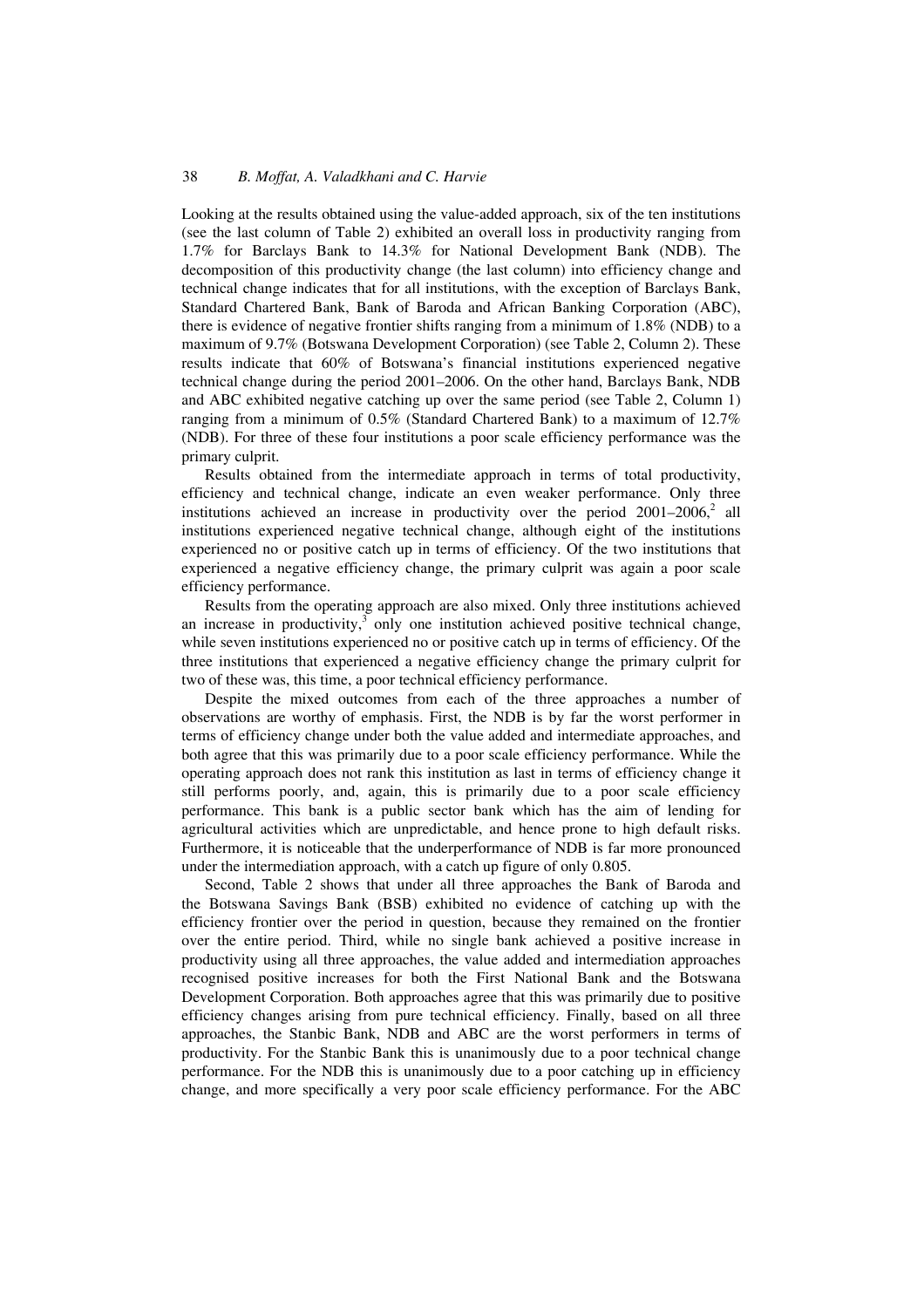Looking at the results obtained using the value-added approach, six of the ten institutions (see the last column of Table 2) exhibited an overall loss in productivity ranging from 1.7% for Barclays Bank to 14.3% for National Development Bank (NDB). The decomposition of this productivity change (the last column) into efficiency change and technical change indicates that for all institutions, with the exception of Barclays Bank, Standard Chartered Bank, Bank of Baroda and African Banking Corporation (ABC), there is evidence of negative frontier shifts ranging from a minimum of 1.8% (NDB) to a maximum of 9.7% (Botswana Development Corporation) (see Table 2, Column 2). These results indicate that 60% of Botswana's financial institutions experienced negative technical change during the period 2001–2006. On the other hand, Barclays Bank, NDB and ABC exhibited negative catching up over the same period (see Table 2, Column 1) ranging from a minimum of 0.5% (Standard Chartered Bank) to a maximum of 12.7% (NDB). For three of these four institutions a poor scale efficiency performance was the primary culprit.

Results obtained from the intermediate approach in terms of total productivity, efficiency and technical change, indicate an even weaker performance. Only three institutions achieved an increase in productivity over the period  $2001-2006$ ,<sup>2</sup> all institutions experienced negative technical change, although eight of the institutions experienced no or positive catch up in terms of efficiency. Of the two institutions that experienced a negative efficiency change, the primary culprit was again a poor scale efficiency performance.

Results from the operating approach are also mixed. Only three institutions achieved an increase in productivity, $3$  only one institution achieved positive technical change, while seven institutions experienced no or positive catch up in terms of efficiency. Of the three institutions that experienced a negative efficiency change the primary culprit for two of these was, this time, a poor technical efficiency performance.

Despite the mixed outcomes from each of the three approaches a number of observations are worthy of emphasis. First, the NDB is by far the worst performer in terms of efficiency change under both the value added and intermediate approaches, and both agree that this was primarily due to a poor scale efficiency performance. While the operating approach does not rank this institution as last in terms of efficiency change it still performs poorly, and, again, this is primarily due to a poor scale efficiency performance. This bank is a public sector bank which has the aim of lending for agricultural activities which are unpredictable, and hence prone to high default risks. Furthermore, it is noticeable that the underperformance of NDB is far more pronounced under the intermediation approach, with a catch up figure of only 0.805.

Second, Table 2 shows that under all three approaches the Bank of Baroda and the Botswana Savings Bank (BSB) exhibited no evidence of catching up with the efficiency frontier over the period in question, because they remained on the frontier over the entire period. Third, while no single bank achieved a positive increase in productivity using all three approaches, the value added and intermediation approaches recognised positive increases for both the First National Bank and the Botswana Development Corporation. Both approaches agree that this was primarily due to positive efficiency changes arising from pure technical efficiency. Finally, based on all three approaches, the Stanbic Bank, NDB and ABC are the worst performers in terms of productivity. For the Stanbic Bank this is unanimously due to a poor technical change performance. For the NDB this is unanimously due to a poor catching up in efficiency change, and more specifically a very poor scale efficiency performance. For the ABC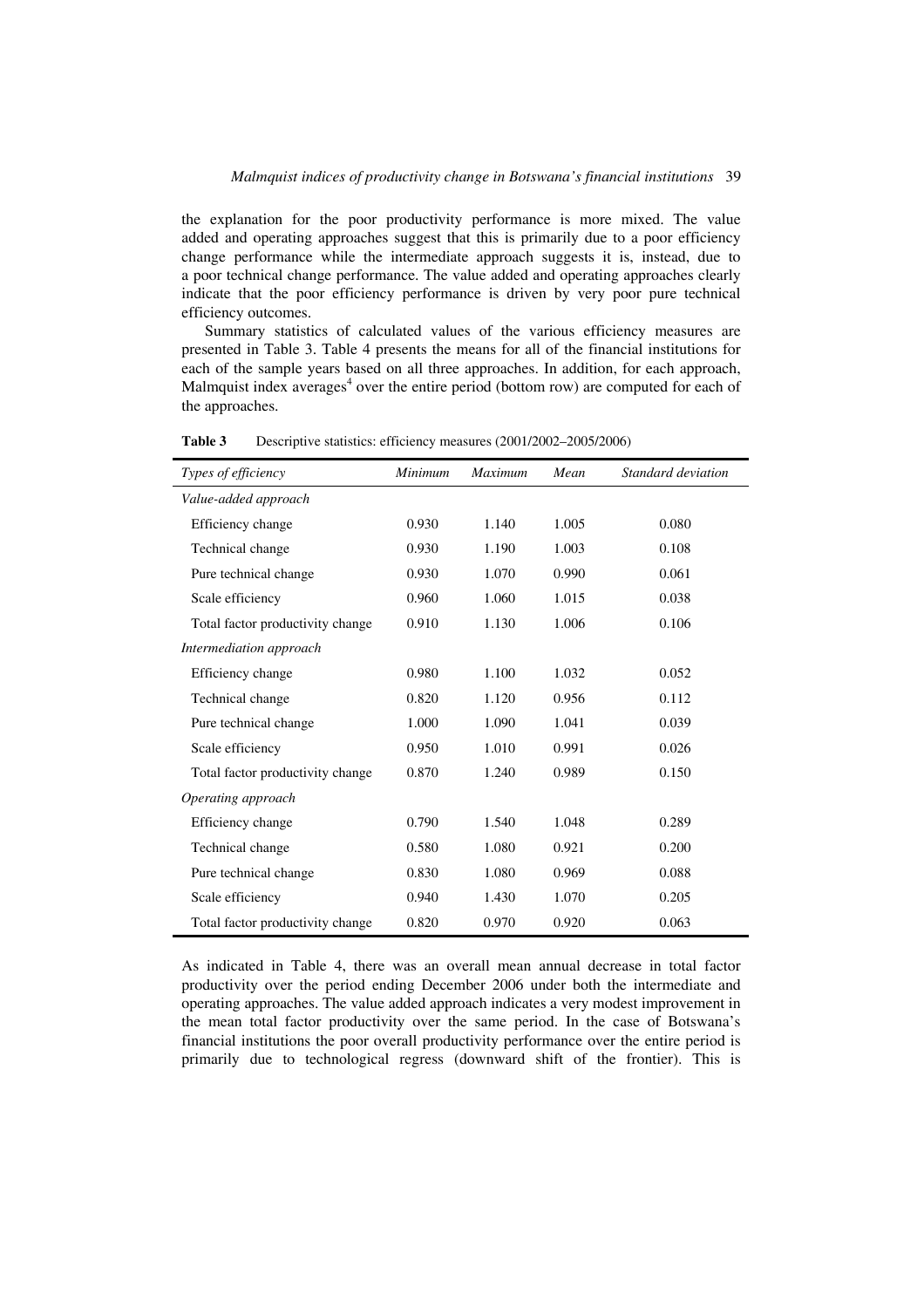the explanation for the poor productivity performance is more mixed. The value added and operating approaches suggest that this is primarily due to a poor efficiency change performance while the intermediate approach suggests it is, instead, due to a poor technical change performance. The value added and operating approaches clearly indicate that the poor efficiency performance is driven by very poor pure technical efficiency outcomes.

Summary statistics of calculated values of the various efficiency measures are presented in Table 3. Table 4 presents the means for all of the financial institutions for each of the sample years based on all three approaches. In addition, for each approach, Malmquist index averages<sup>4</sup> over the entire period (bottom row) are computed for each of the approaches.

| Types of efficiency              | Minimum | <b>Maximum</b> | Mean  | Standard deviation |
|----------------------------------|---------|----------------|-------|--------------------|
| Value-added approach             |         |                |       |                    |
| Efficiency change                | 0.930   | 1.140          | 1.005 | 0.080              |
| Technical change                 | 0.930   | 1.190          | 1.003 | 0.108              |
| Pure technical change            | 0.930   | 1.070          | 0.990 | 0.061              |
| Scale efficiency                 | 0.960   | 1.060          | 1.015 | 0.038              |
| Total factor productivity change | 0.910   | 1.130          | 1.006 | 0.106              |
| Intermediation approach          |         |                |       |                    |
| Efficiency change                | 0.980   | 1.100          | 1.032 | 0.052              |
| Technical change                 | 0.820   | 1.120          | 0.956 | 0.112              |
| Pure technical change            | 1.000   | 1.090          | 1.041 | 0.039              |
| Scale efficiency                 | 0.950   | 1.010          | 0.991 | 0.026              |
| Total factor productivity change | 0.870   | 1.240          | 0.989 | 0.150              |
| Operating approach               |         |                |       |                    |
| Efficiency change                | 0.790   | 1.540          | 1.048 | 0.289              |
| Technical change                 | 0.580   | 1.080          | 0.921 | 0.200              |
| Pure technical change            | 0.830   | 1.080          | 0.969 | 0.088              |
| Scale efficiency                 | 0.940   | 1.430          | 1.070 | 0.205              |
| Total factor productivity change | 0.820   | 0.970          | 0.920 | 0.063              |

**Table 3** Descriptive statistics: efficiency measures (2001/2002–2005/2006)

As indicated in Table 4, there was an overall mean annual decrease in total factor productivity over the period ending December 2006 under both the intermediate and operating approaches. The value added approach indicates a very modest improvement in the mean total factor productivity over the same period. In the case of Botswana's financial institutions the poor overall productivity performance over the entire period is primarily due to technological regress (downward shift of the frontier). This is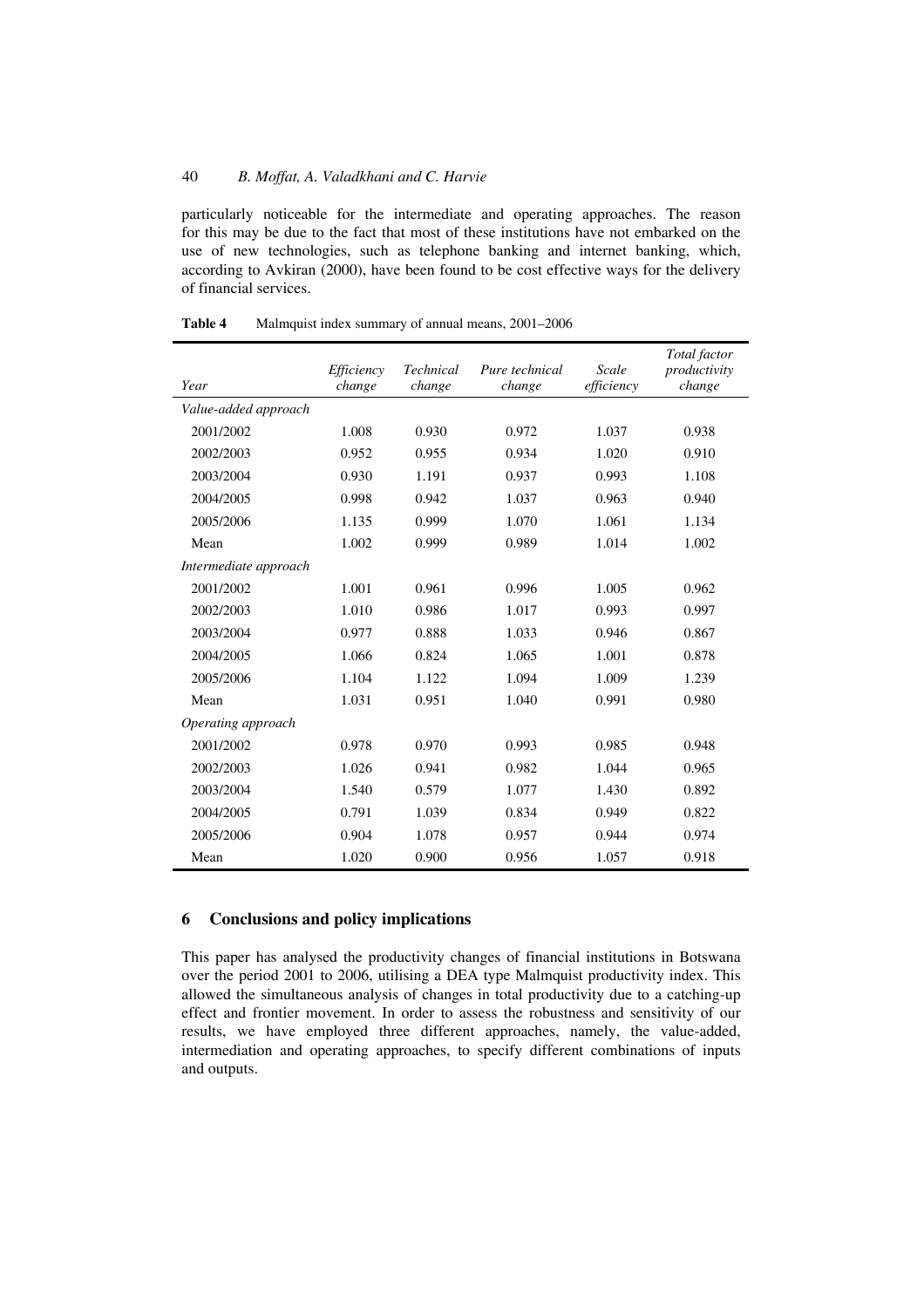particularly noticeable for the intermediate and operating approaches. The reason for this may be due to the fact that most of these institutions have not embarked on the use of new technologies, such as telephone banking and internet banking, which, according to Avkiran (2000), have been found to be cost effective ways for the delivery of financial services.

| Year                  | Efficiency<br>change | <b>Technical</b><br>change | Pure technical<br>change | Scale<br>efficiency | Total factor<br>productivity<br>change |
|-----------------------|----------------------|----------------------------|--------------------------|---------------------|----------------------------------------|
| Value-added approach  |                      |                            |                          |                     |                                        |
| 2001/2002             | 1.008                | 0.930                      | 0.972                    | 1.037               | 0.938                                  |
| 2002/2003             | 0.952                | 0.955                      | 0.934                    | 1.020               | 0.910                                  |
| 2003/2004             | 0.930                | 1.191                      | 0.937                    | 0.993               | 1.108                                  |
| 2004/2005             | 0.998                | 0.942                      | 1.037                    | 0.963               | 0.940                                  |
| 2005/2006             | 1.135                | 0.999                      | 1.070                    | 1.061               | 1.134                                  |
| Mean                  | 1.002                | 0.999                      | 0.989                    | 1.014               | 1.002                                  |
| Intermediate approach |                      |                            |                          |                     |                                        |
| 2001/2002             | 1.001                | 0.961                      | 0.996                    | 1.005               | 0.962                                  |
| 2002/2003             | 1.010                | 0.986                      | 1.017                    | 0.993               | 0.997                                  |
| 2003/2004             | 0.977                | 0.888                      | 1.033                    | 0.946               | 0.867                                  |
| 2004/2005             | 1.066                | 0.824                      | 1.065                    | 1.001               | 0.878                                  |
| 2005/2006             | 1.104                | 1.122                      | 1.094                    | 1.009               | 1.239                                  |
| Mean                  | 1.031                | 0.951                      | 1.040                    | 0.991               | 0.980                                  |
| Operating approach    |                      |                            |                          |                     |                                        |
| 2001/2002             | 0.978                | 0.970                      | 0.993                    | 0.985               | 0.948                                  |
| 2002/2003             | 1.026                | 0.941                      | 0.982                    | 1.044               | 0.965                                  |
| 2003/2004             | 1.540                | 0.579                      | 1.077                    | 1.430               | 0.892                                  |
| 2004/2005             | 0.791                | 1.039                      | 0.834                    | 0.949               | 0.822                                  |
| 2005/2006             | 0.904                | 1.078                      | 0.957                    | 0.944               | 0.974                                  |
| Mean                  | 1.020                | 0.900                      | 0.956                    | 1.057               | 0.918                                  |

**Table 4** Malmquist index summary of annual means, 2001–2006

## **6 Conclusions and policy implications**

This paper has analysed the productivity changes of financial institutions in Botswana over the period 2001 to 2006, utilising a DEA type Malmquist productivity index. This allowed the simultaneous analysis of changes in total productivity due to a catching-up effect and frontier movement. In order to assess the robustness and sensitivity of our results, we have employed three different approaches, namely, the value-added, intermediation and operating approaches, to specify different combinations of inputs and outputs.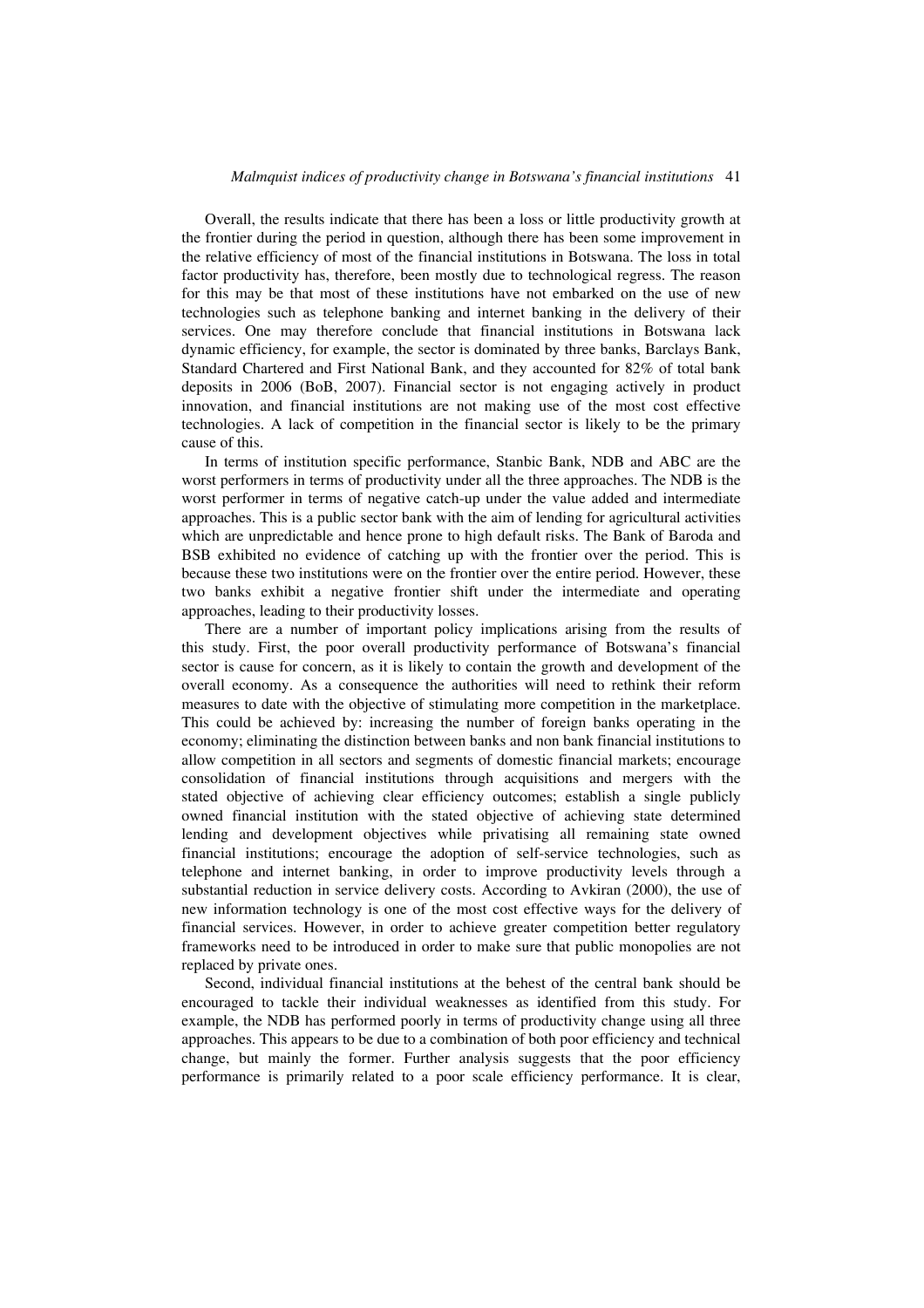#### *Malmquist indices of productivity change in Botswana's financial institutions* 41

Overall, the results indicate that there has been a loss or little productivity growth at the frontier during the period in question, although there has been some improvement in the relative efficiency of most of the financial institutions in Botswana. The loss in total factor productivity has, therefore, been mostly due to technological regress. The reason for this may be that most of these institutions have not embarked on the use of new technologies such as telephone banking and internet banking in the delivery of their services. One may therefore conclude that financial institutions in Botswana lack dynamic efficiency, for example, the sector is dominated by three banks, Barclays Bank, Standard Chartered and First National Bank, and they accounted for 82% of total bank deposits in 2006 (BoB, 2007). Financial sector is not engaging actively in product innovation, and financial institutions are not making use of the most cost effective technologies. A lack of competition in the financial sector is likely to be the primary cause of this.

In terms of institution specific performance, Stanbic Bank, NDB and ABC are the worst performers in terms of productivity under all the three approaches. The NDB is the worst performer in terms of negative catch-up under the value added and intermediate approaches. This is a public sector bank with the aim of lending for agricultural activities which are unpredictable and hence prone to high default risks. The Bank of Baroda and BSB exhibited no evidence of catching up with the frontier over the period. This is because these two institutions were on the frontier over the entire period. However, these two banks exhibit a negative frontier shift under the intermediate and operating approaches, leading to their productivity losses.

There are a number of important policy implications arising from the results of this study. First, the poor overall productivity performance of Botswana's financial sector is cause for concern, as it is likely to contain the growth and development of the overall economy. As a consequence the authorities will need to rethink their reform measures to date with the objective of stimulating more competition in the marketplace. This could be achieved by: increasing the number of foreign banks operating in the economy; eliminating the distinction between banks and non bank financial institutions to allow competition in all sectors and segments of domestic financial markets; encourage consolidation of financial institutions through acquisitions and mergers with the stated objective of achieving clear efficiency outcomes; establish a single publicly owned financial institution with the stated objective of achieving state determined lending and development objectives while privatising all remaining state owned financial institutions; encourage the adoption of self-service technologies, such as telephone and internet banking, in order to improve productivity levels through a substantial reduction in service delivery costs. According to Avkiran (2000), the use of new information technology is one of the most cost effective ways for the delivery of financial services. However, in order to achieve greater competition better regulatory frameworks need to be introduced in order to make sure that public monopolies are not replaced by private ones.

Second, individual financial institutions at the behest of the central bank should be encouraged to tackle their individual weaknesses as identified from this study. For example, the NDB has performed poorly in terms of productivity change using all three approaches. This appears to be due to a combination of both poor efficiency and technical change, but mainly the former. Further analysis suggests that the poor efficiency performance is primarily related to a poor scale efficiency performance. It is clear,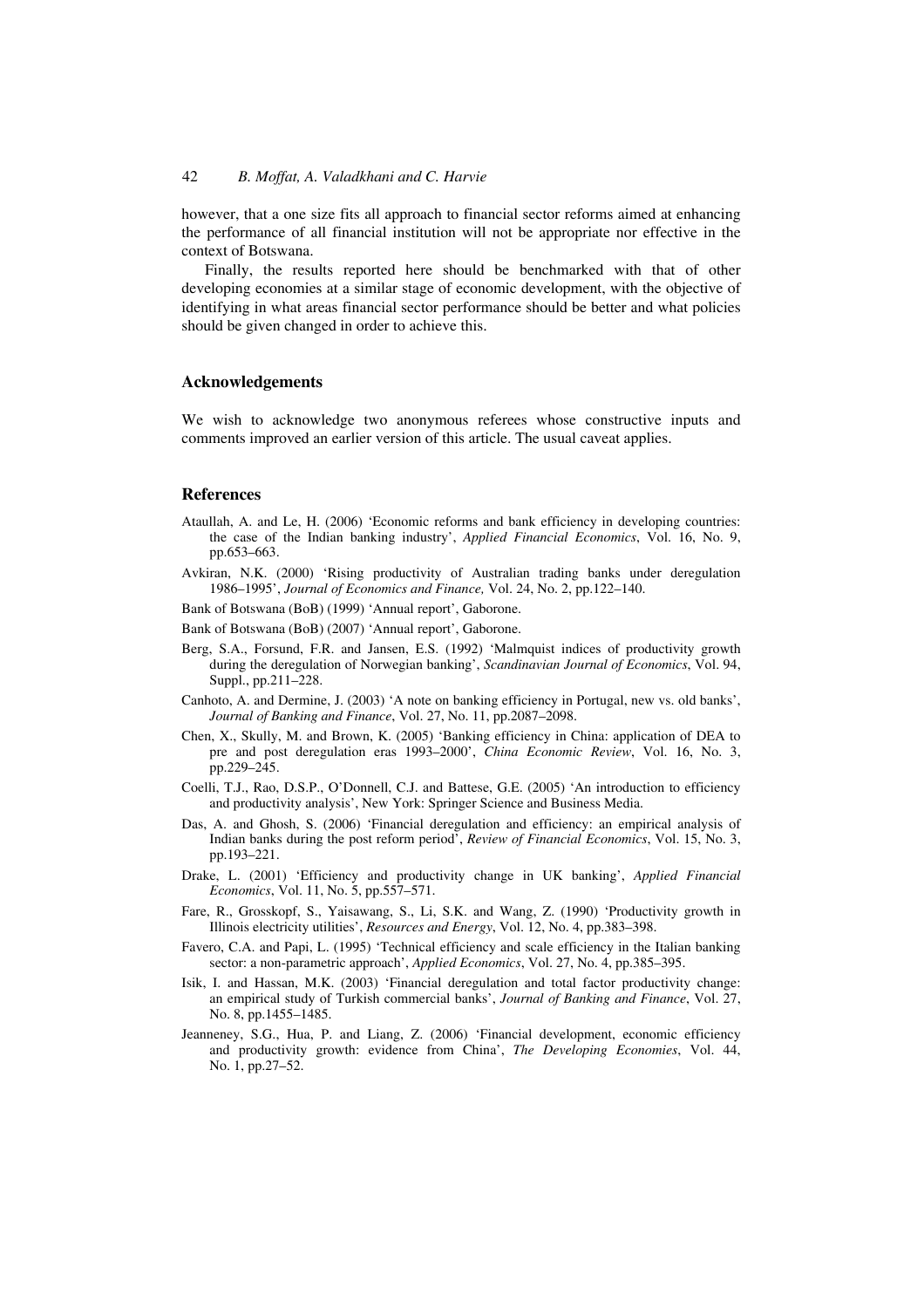however, that a one size fits all approach to financial sector reforms aimed at enhancing the performance of all financial institution will not be appropriate nor effective in the context of Botswana.

Finally, the results reported here should be benchmarked with that of other developing economies at a similar stage of economic development, with the objective of identifying in what areas financial sector performance should be better and what policies should be given changed in order to achieve this.

#### **Acknowledgements**

We wish to acknowledge two anonymous referees whose constructive inputs and comments improved an earlier version of this article. The usual caveat applies.

#### **References**

- Ataullah, A. and Le, H. (2006) 'Economic reforms and bank efficiency in developing countries: the case of the Indian banking industry', *Applied Financial Economics*, Vol. 16, No. 9, pp.653–663.
- Avkiran, N.K. (2000) 'Rising productivity of Australian trading banks under deregulation 1986–1995', *Journal of Economics and Finance,* Vol. 24, No. 2, pp.122–140.
- Bank of Botswana (BoB) (1999) 'Annual report', Gaborone.
- Bank of Botswana (BoB) (2007) 'Annual report', Gaborone.
- Berg, S.A., Forsund, F.R. and Jansen, E.S. (1992) 'Malmquist indices of productivity growth during the deregulation of Norwegian banking', *Scandinavian Journal of Economics*, Vol. 94, Suppl., pp.211–228.
- Canhoto, A. and Dermine, J. (2003) 'A note on banking efficiency in Portugal, new vs. old banks', *Journal of Banking and Finance*, Vol. 27, No. 11, pp.2087–2098.
- Chen, X., Skully, M. and Brown, K. (2005) 'Banking efficiency in China: application of DEA to pre and post deregulation eras 1993–2000', *China Economic Review*, Vol. 16, No. 3, pp.229–245.
- Coelli, T.J., Rao, D.S.P., O'Donnell, C.J. and Battese, G.E. (2005) 'An introduction to efficiency and productivity analysis', New York: Springer Science and Business Media.
- Das, A. and Ghosh, S. (2006) 'Financial deregulation and efficiency: an empirical analysis of Indian banks during the post reform period', *Review of Financial Economics*, Vol. 15, No. 3, pp.193–221.
- Drake, L. (2001) 'Efficiency and productivity change in UK banking', *Applied Financial Economics*, Vol. 11, No. 5, pp.557–571.
- Fare, R., Grosskopf, S., Yaisawang, S., Li, S.K. and Wang, Z. (1990) 'Productivity growth in Illinois electricity utilities', *Resources and Energy*, Vol. 12, No. 4, pp.383–398.
- Favero, C.A. and Papi, L. (1995) 'Technical efficiency and scale efficiency in the Italian banking sector: a non-parametric approach', *Applied Economics*, Vol. 27, No. 4, pp.385–395.
- Isik, I. and Hassan, M.K. (2003) 'Financial deregulation and total factor productivity change: an empirical study of Turkish commercial banks', *Journal of Banking and Finance*, Vol. 27, No. 8, pp.1455–1485.
- Jeanneney, S.G., Hua, P. and Liang, Z. (2006) 'Financial development, economic efficiency and productivity growth: evidence from China', *The Developing Economies*, Vol. 44, No. 1, pp.27–52.